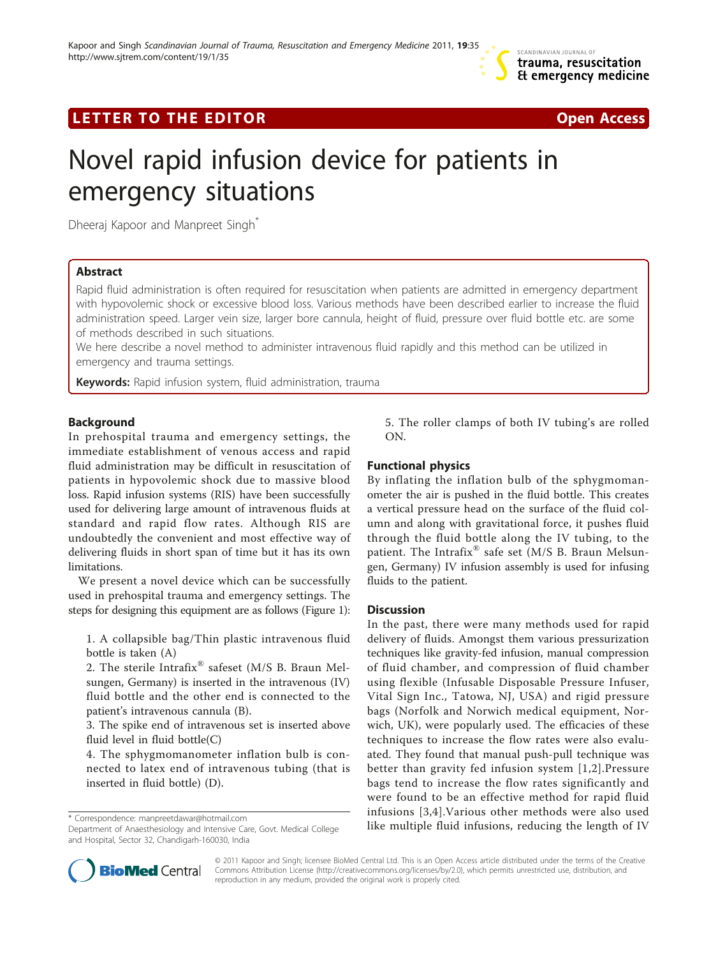

## LETTER TO THE EDITOR **CONSIDERATION** CONSIDERING THE STATE AND THE STATE ASSAULT AND THE STATE ASSAULT ASSAULT A



# Novel rapid infusion device for patients in emergency situations

Dheeraj Kapoor and Manpreet Singh<sup>\*</sup>

## Abstract

Rapid fluid administration is often required for resuscitation when patients are admitted in emergency department with hypovolemic shock or excessive blood loss. Various methods have been described earlier to increase the fluid administration speed. Larger vein size, larger bore cannula, height of fluid, pressure over fluid bottle etc. are some of methods described in such situations.

We here describe a novel method to administer intravenous fluid rapidly and this method can be utilized in emergency and trauma settings.

Keywords: Rapid infusion system, fluid administration, trauma

## Background

In prehospital trauma and emergency settings, the immediate establishment of venous access and rapid fluid administration may be difficult in resuscitation of patients in hypovolemic shock due to massive blood loss. Rapid infusion systems (RIS) have been successfully used for delivering large amount of intravenous fluids at standard and rapid flow rates. Although RIS are undoubtedly the convenient and most effective way of delivering fluids in short span of time but it has its own limitations.

We present a novel device which can be successfully used in prehospital trauma and emergency settings. The steps for designing this equipment are as follows (Figure [1](#page-1-0)):

1. A collapsible bag/Thin plastic intravenous fluid bottle is taken (A)

2. The sterile Intrafix<sup>®</sup> safeset (M/S B. Braun Melsungen, Germany) is inserted in the intravenous (IV) fluid bottle and the other end is connected to the patient's intravenous cannula (B).

3. The spike end of intravenous set is inserted above fluid level in fluid bottle(C)

4. The sphygmomanometer inflation bulb is connected to latex end of intravenous tubing (that is inserted in fluid bottle) (D).

Department of Anaesthesiology and Intensive Care, Govt. Medical College and Hospital, Sector 32, Chandigarh-160030, India



## Functional physics

By inflating the inflation bulb of the sphygmomanometer the air is pushed in the fluid bottle. This creates a vertical pressure head on the surface of the fluid column and along with gravitational force, it pushes fluid through the fluid bottle along the IV tubing, to the patient. The Intrafix<sup>®</sup> safe set (M/S B. Braun Melsungen, Germany) IV infusion assembly is used for infusing fluids to the patient.

## **Discussion**

In the past, there were many methods used for rapid delivery of fluids. Amongst them various pressurization techniques like gravity-fed infusion, manual compression of fluid chamber, and compression of fluid chamber using flexible (Infusable Disposable Pressure Infuser, Vital Sign Inc., Tatowa, NJ, USA) and rigid pressure bags (Norfolk and Norwich medical equipment, Norwich, UK), were popularly used. The efficacies of these techniques to increase the flow rates were also evaluated. They found that manual push-pull technique was better than gravity fed infusion system [[1](#page-2-0),[2\]](#page-2-0).Pressure bags tend to increase the flow rates significantly and were found to be an effective method for rapid fluid infusions [[3](#page-2-0),[4\]](#page-2-0).Various other methods were also used \* Correspondence: [manpreetdawar@hotmail.com](mailto:manpreetdawar@hotmail.com) **infusions** [0,<del>1</del>], various other includes were also used<br>Department of Anaesthesiology and Intensive Care Govt Medical College **like multiple fluid infusions, reducing the leng** 



© 2011 Kapoor and Singh; licensee BioMed Central Ltd. This is an Open Access article distributed under the terms of the Creative Commons Attribution License [\(http://creativecommons.org/licenses/by/2.0](http://creativecommons.org/licenses/by/2.0)), which permits unrestricted use, distribution, and reproduction in any medium, provided the original work is properly cited.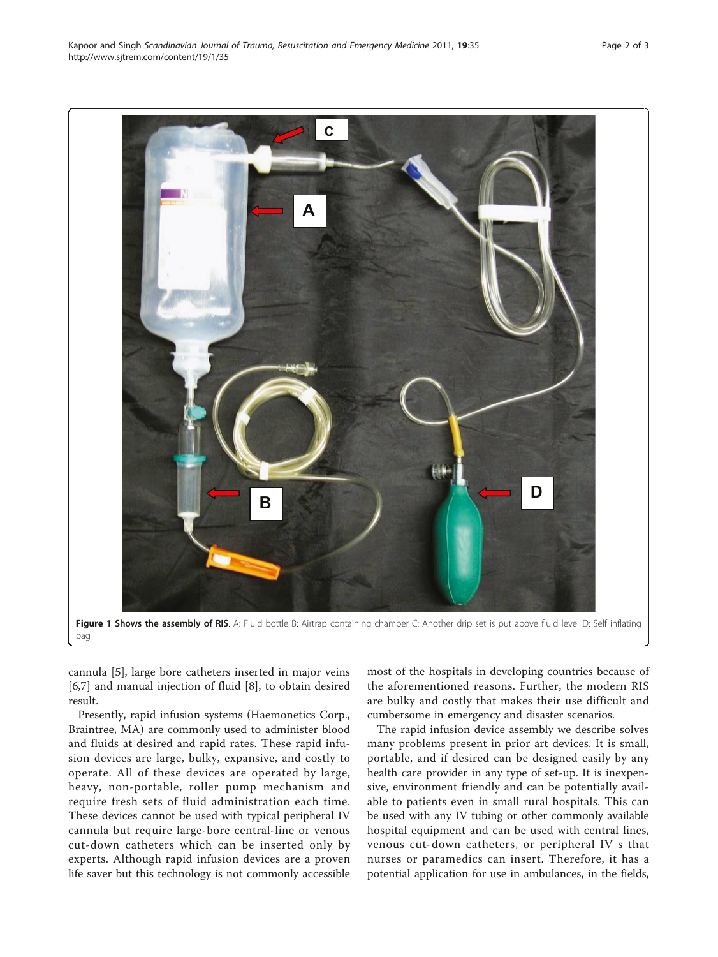<span id="page-1-0"></span>

cannula [\[5](#page-2-0)], large bore catheters inserted in major veins [[6,7\]](#page-2-0) and manual injection of fluid [\[8](#page-2-0)], to obtain desired result.

Presently, rapid infusion systems (Haemonetics Corp., Braintree, MA) are commonly used to administer blood and fluids at desired and rapid rates. These rapid infusion devices are large, bulky, expansive, and costly to operate. All of these devices are operated by large, heavy, non-portable, roller pump mechanism and require fresh sets of fluid administration each time. These devices cannot be used with typical peripheral IV cannula but require large-bore central-line or venous cut-down catheters which can be inserted only by experts. Although rapid infusion devices are a proven life saver but this technology is not commonly accessible

most of the hospitals in developing countries because of the aforementioned reasons. Further, the modern RIS are bulky and costly that makes their use difficult and cumbersome in emergency and disaster scenarios.

The rapid infusion device assembly we describe solves many problems present in prior art devices. It is small, portable, and if desired can be designed easily by any health care provider in any type of set-up. It is inexpensive, environment friendly and can be potentially available to patients even in small rural hospitals. This can be used with any IV tubing or other commonly available hospital equipment and can be used with central lines, venous cut-down catheters, or peripheral IV s that nurses or paramedics can insert. Therefore, it has a potential application for use in ambulances, in the fields,